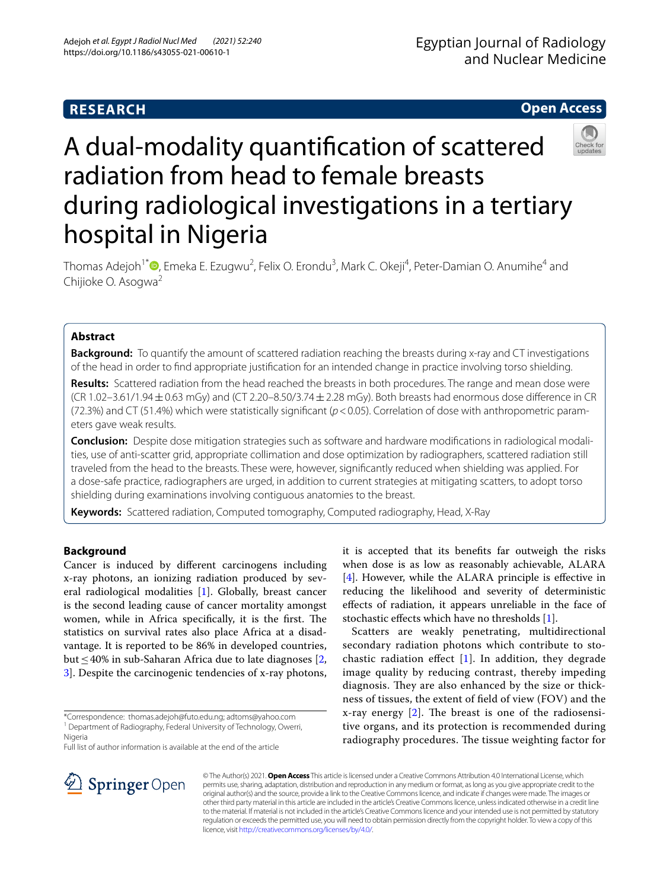# **Open Access**

# A dual-modality quantifcation of scattered radiation from head to female breasts during radiological investigations in a tertiary hospital in Nigeria

Thomas Adejoh<sup>1\*</sup>®[,](http://orcid.org/0000-0003-1516-8087) Emeka E. Ezugwu<sup>2</sup>, Felix O. Erondu<sup>3</sup>, Mark C. Okeji<sup>4</sup>, Peter-Damian O. Anumihe<sup>4</sup> and Chijioke O. Asogwa<sup>2</sup>

# **Abstract**

**Background:** To quantify the amount of scattered radiation reaching the breasts during x-ray and CT investigations of the head in order to fnd appropriate justifcation for an intended change in practice involving torso shielding.

**Results:** Scattered radiation from the head reached the breasts in both procedures. The range and mean dose were  $(CR 1.02-3.61/1.94 \pm 0.63 \text{ mGy})$  and  $(CT 2.20-8.50/3.74 \pm 2.28 \text{ mGy})$ . Both breasts had enormous dose difference in CR (72.3%) and CT (51.4%) which were statistically signifcant (*p*<0.05). Correlation of dose with anthropometric param‑ eters gave weak results.

**Conclusion:** Despite dose mitigation strategies such as software and hardware modifcations in radiological modali‑ ties, use of anti-scatter grid, appropriate collimation and dose optimization by radiographers, scattered radiation still traveled from the head to the breasts. These were, however, signifcantly reduced when shielding was applied. For a dose-safe practice, radiographers are urged, in addition to current strategies at mitigating scatters, to adopt torso shielding during examinations involving contiguous anatomies to the breast.

**Keywords:** Scattered radiation, Computed tomography, Computed radiography, Head, X-Ray

# **Background**

Cancer is induced by diferent carcinogens including x-ray photons, an ionizing radiation produced by several radiological modalities [[1\]](#page-5-0). Globally, breast cancer is the second leading cause of cancer mortality amongst women, while in Africa specifically, it is the first. The statistics on survival rates also place Africa at a disadvantage. It is reported to be 86% in developed countries, but≤40% in sub-Saharan Africa due to late diagnoses [\[2](#page-5-1), [3\]](#page-5-2). Despite the carcinogenic tendencies of x-ray photons,

Full list of author information is available at the end of the article

it is accepted that its benefts far outweigh the risks when dose is as low as reasonably achievable, ALARA [[4\]](#page-5-3). However, while the ALARA principle is efective in reducing the likelihood and severity of deterministic efects of radiation, it appears unreliable in the face of stochastic efects which have no thresholds [[1\]](#page-5-0).

Scatters are weakly penetrating, multidirectional secondary radiation photons which contribute to stochastic radiation effect  $[1]$  $[1]$  $[1]$ . In addition, they degrade image quality by reducing contrast, thereby impeding diagnosis. They are also enhanced by the size or thickness of tissues, the extent of feld of view (FOV) and the x-ray energy  $[2]$  $[2]$ . The breast is one of the radiosensitive organs, and its protection is recommended during radiography procedures. The tissue weighting factor for



© The Author(s) 2021. **Open Access** This article is licensed under a Creative Commons Attribution 4.0 International License, which permits use, sharing, adaptation, distribution and reproduction in any medium or format, as long as you give appropriate credit to the original author(s) and the source, provide a link to the Creative Commons licence, and indicate if changes were made. The images or other third party material in this article are included in the article's Creative Commons licence, unless indicated otherwise in a credit line to the material. If material is not included in the article's Creative Commons licence and your intended use is not permitted by statutory regulation or exceeds the permitted use, you will need to obtain permission directly from the copyright holder. To view a copy of this licence, visit [http://creativecommons.org/licenses/by/4.0/.](http://creativecommons.org/licenses/by/4.0/)

<sup>\*</sup>Correspondence: thomas.adejoh@futo.edu.ng; adtoms@yahoo.com <sup>1</sup> Department of Radiography, Federal University of Technology, Owerri, Nigeria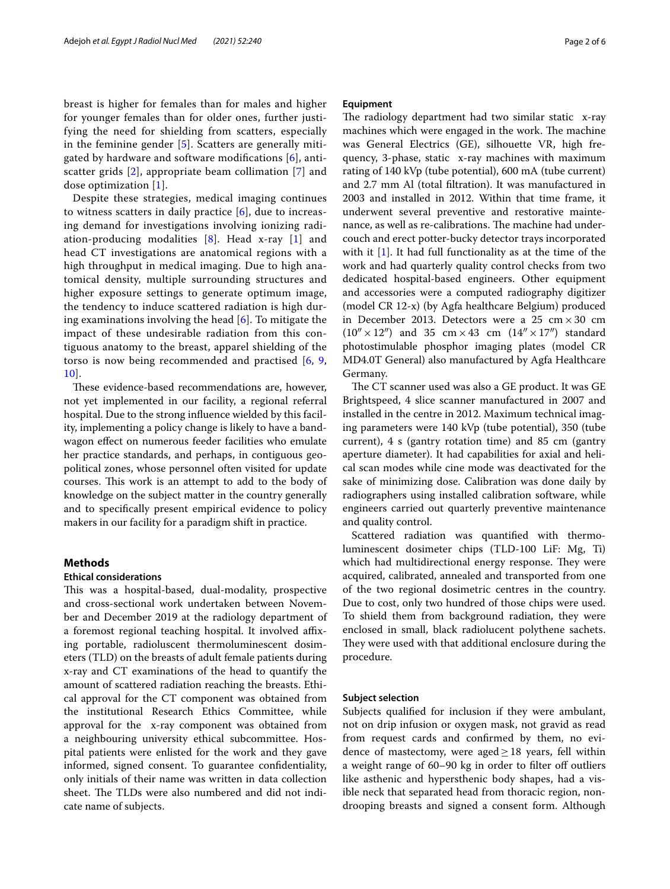breast is higher for females than for males and higher for younger females than for older ones, further justifying the need for shielding from scatters, especially in the feminine gender [\[5](#page-5-4)]. Scatters are generally mitigated by hardware and software modifcations [\[6](#page-5-5)], antiscatter grids [[2](#page-5-1)], appropriate beam collimation [\[7](#page-5-6)] and dose optimization [[1\]](#page-5-0).

Despite these strategies, medical imaging continues to witness scatters in daily practice [[6\]](#page-5-5), due to increasing demand for investigations involving ionizing radiation-producing modalities  $[8]$  $[8]$ . Head x-ray  $[1]$  $[1]$  and head CT investigations are anatomical regions with a high throughput in medical imaging. Due to high anatomical density, multiple surrounding structures and higher exposure settings to generate optimum image, the tendency to induce scattered radiation is high during examinations involving the head [[6\]](#page-5-5). To mitigate the impact of these undesirable radiation from this contiguous anatomy to the breast, apparel shielding of the torso is now being recommended and practised [[6](#page-5-5), [9](#page-5-8), [10\]](#page-5-9).

These evidence-based recommendations are, however, not yet implemented in our facility, a regional referral hospital. Due to the strong infuence wielded by this facility, implementing a policy change is likely to have a bandwagon efect on numerous feeder facilities who emulate her practice standards, and perhaps, in contiguous geopolitical zones, whose personnel often visited for update courses. This work is an attempt to add to the body of knowledge on the subject matter in the country generally and to specifcally present empirical evidence to policy makers in our facility for a paradigm shift in practice.

# **Methods**

# **Ethical considerations**

This was a hospital-based, dual-modality, prospective and cross-sectional work undertaken between November and December 2019 at the radiology department of a foremost regional teaching hospital. It involved afxing portable, radioluscent thermoluminescent dosimeters (TLD) on the breasts of adult female patients during x-ray and CT examinations of the head to quantify the amount of scattered radiation reaching the breasts. Ethical approval for the CT component was obtained from the institutional Research Ethics Committee, while approval for the x-ray component was obtained from a neighbouring university ethical subcommittee. Hospital patients were enlisted for the work and they gave informed, signed consent. To guarantee confdentiality, only initials of their name was written in data collection sheet. The TLDs were also numbered and did not indicate name of subjects.

# **Equipment**

The radiology department had two similar static  $x$ -ray machines which were engaged in the work. The machine was General Electrics (GE), silhouette VR, high frequency, 3-phase, static x-ray machines with maximum rating of 140 kVp (tube potential), 600 mA (tube current) and 2.7 mm Al (total fltration). It was manufactured in 2003 and installed in 2012. Within that time frame, it underwent several preventive and restorative maintenance, as well as re-calibrations. The machine had undercouch and erect potter-bucky detector trays incorporated with it [[1\]](#page-5-0). It had full functionality as at the time of the work and had quarterly quality control checks from two dedicated hospital-based engineers. Other equipment and accessories were a computed radiography digitizer (model CR 12-x) (by Agfa healthcare Belgium) produced in December 2013. Detectors were a  $25 \text{ cm} \times 30 \text{ cm}$  $(10'' \times 12'')$  and 35 cm × 43 cm  $(14'' \times 17'')$  standard photostimulable phosphor imaging plates (model CR MD4.0T General) also manufactured by Agfa Healthcare Germany.

The CT scanner used was also a GE product. It was GE Brightspeed, 4 slice scanner manufactured in 2007 and installed in the centre in 2012. Maximum technical imaging parameters were 140 kVp (tube potential), 350 (tube current), 4 s (gantry rotation time) and 85 cm (gantry aperture diameter). It had capabilities for axial and helical scan modes while cine mode was deactivated for the sake of minimizing dose. Calibration was done daily by radiographers using installed calibration software, while engineers carried out quarterly preventive maintenance and quality control.

Scattered radiation was quantifed with thermoluminescent dosimeter chips (TLD-100 LiF: Mg, Ti) which had multidirectional energy response. They were acquired, calibrated, annealed and transported from one of the two regional dosimetric centres in the country. Due to cost, only two hundred of those chips were used. To shield them from background radiation, they were enclosed in small, black radiolucent polythene sachets. They were used with that additional enclosure during the procedure.

# **Subject selection**

Subjects qualifed for inclusion if they were ambulant, not on drip infusion or oxygen mask, not gravid as read from request cards and confrmed by them, no evidence of mastectomy, were aged $\geq$  18 years, fell within a weight range of 60-90 kg in order to filter off outliers like asthenic and hypersthenic body shapes, had a visible neck that separated head from thoracic region, nondrooping breasts and signed a consent form. Although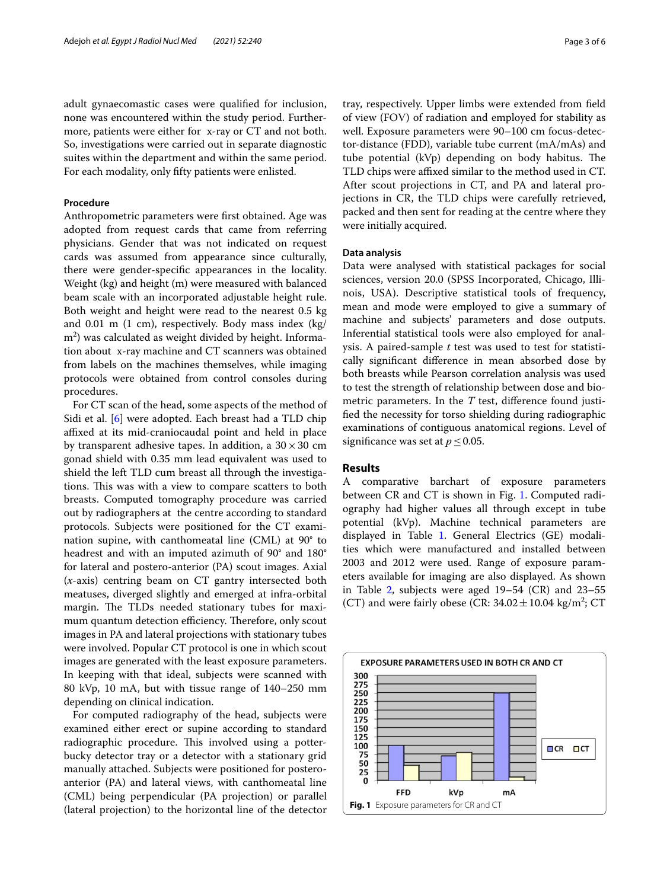adult gynaecomastic cases were qualifed for inclusion, none was encountered within the study period. Furthermore, patients were either for x-ray or CT and not both. So, investigations were carried out in separate diagnostic suites within the department and within the same period. For each modality, only ffty patients were enlisted.

# **Procedure**

Anthropometric parameters were frst obtained. Age was adopted from request cards that came from referring physicians. Gender that was not indicated on request cards was assumed from appearance since culturally, there were gender-specifc appearances in the locality. Weight (kg) and height (m) were measured with balanced beam scale with an incorporated adjustable height rule. Both weight and height were read to the nearest 0.5 kg and 0.01 m (1 cm), respectively. Body mass index (kg/  $\rm m^2)$  was calculated as weight divided by height. Information about x-ray machine and CT scanners was obtained from labels on the machines themselves, while imaging protocols were obtained from control consoles during procedures.

For CT scan of the head, some aspects of the method of Sidi et al. [[6](#page-5-5)] were adopted. Each breast had a TLD chip affixed at its mid-craniocaudal point and held in place by transparent adhesive tapes. In addition, a  $30 \times 30$  cm gonad shield with 0.35 mm lead equivalent was used to shield the left TLD cum breast all through the investigations. This was with a view to compare scatters to both breasts. Computed tomography procedure was carried out by radiographers at the centre according to standard protocols. Subjects were positioned for the CT examination supine, with canthomeatal line (CML) at 90° to headrest and with an imputed azimuth of 90° and 180° for lateral and postero-anterior (PA) scout images. Axial (*x*-axis) centring beam on CT gantry intersected both meatuses, diverged slightly and emerged at infra-orbital margin. The TLDs needed stationary tubes for maximum quantum detection efficiency. Therefore, only scout images in PA and lateral projections with stationary tubes were involved. Popular CT protocol is one in which scout images are generated with the least exposure parameters. In keeping with that ideal, subjects were scanned with 80 kVp, 10 mA, but with tissue range of 140–250 mm depending on clinical indication.

For computed radiography of the head, subjects were examined either erect or supine according to standard radiographic procedure. This involved using a potterbucky detector tray or a detector with a stationary grid manually attached. Subjects were positioned for posteroanterior (PA) and lateral views, with canthomeatal line (CML) being perpendicular (PA projection) or parallel (lateral projection) to the horizontal line of the detector tray, respectively. Upper limbs were extended from feld of view (FOV) of radiation and employed for stability as well. Exposure parameters were 90–100 cm focus-detector-distance (FDD), variable tube current (mA/mAs) and tube potential (kVp) depending on body habitus. The TLD chips were affixed similar to the method used in CT. After scout projections in CT, and PA and lateral projections in CR, the TLD chips were carefully retrieved, packed and then sent for reading at the centre where they were initially acquired.

# **Data analysis**

Data were analysed with statistical packages for social sciences, version 20.0 (SPSS Incorporated, Chicago, Illinois, USA). Descriptive statistical tools of frequency, mean and mode were employed to give a summary of machine and subjects' parameters and dose outputs. Inferential statistical tools were also employed for analysis. A paired-sample *t* test was used to test for statistically signifcant diference in mean absorbed dose by both breasts while Pearson correlation analysis was used to test the strength of relationship between dose and biometric parameters. In the *T* test, diference found justifed the necessity for torso shielding during radiographic examinations of contiguous anatomical regions. Level of significance was set at  $p \leq 0.05$ .

# **Results**

A comparative barchart of exposure parameters between CR and CT is shown in Fig. [1.](#page-2-0) Computed radiography had higher values all through except in tube potential (kVp). Machine technical parameters are displayed in Table [1.](#page-3-0) General Electrics (GE) modalities which were manufactured and installed between 2003 and 2012 were used. Range of exposure parameters available for imaging are also displayed. As shown in Table [2,](#page-3-1) subjects were aged  $19-54$  (CR) and  $23-55$ (CT) and were fairly obese (CR:  $34.02 \pm 10.04$  kg/m<sup>2</sup>; CT

<span id="page-2-0"></span>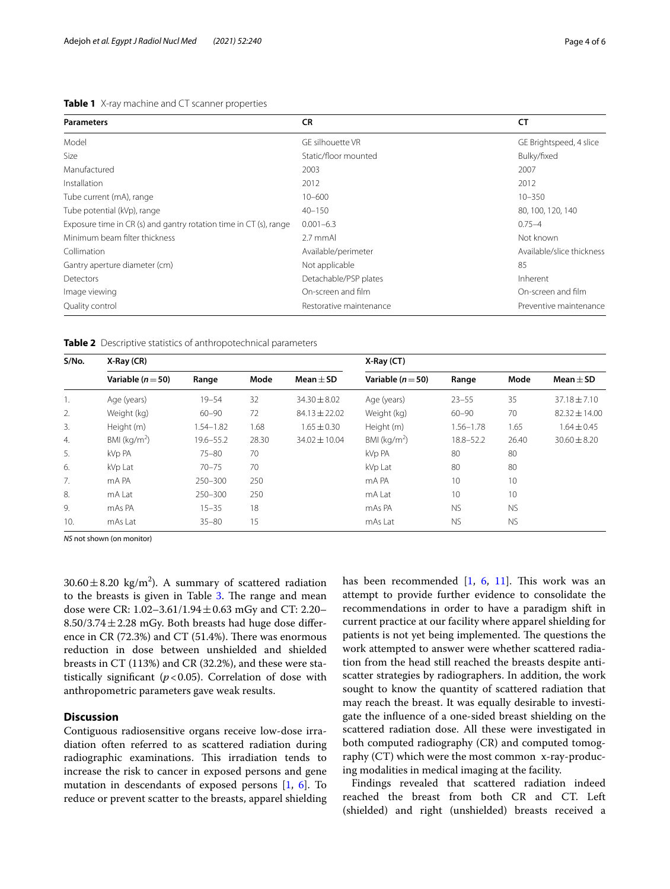# <span id="page-3-0"></span>**Table 1** X-ray machine and CT scanner properties

| <b>Parameters</b>                                                 | <b>CR</b>               | <b>CT</b>                 |  |  |  |
|-------------------------------------------------------------------|-------------------------|---------------------------|--|--|--|
| Model                                                             | GE silhouette VR        | GE Brightspeed, 4 slice   |  |  |  |
| Size                                                              | Static/floor mounted    | Bulky/fixed               |  |  |  |
| Manufactured                                                      | 2003                    | 2007                      |  |  |  |
| Installation                                                      | 2012                    | 2012                      |  |  |  |
| Tube current (mA), range                                          | $10 - 600$              | $10 - 350$                |  |  |  |
| Tube potential (kVp), range                                       | $40 - 150$              | 80, 100, 120, 140         |  |  |  |
| Exposure time in CR (s) and gantry rotation time in CT (s), range | $0.001 - 6.3$           | $0.75 - 4$                |  |  |  |
| Minimum beam filter thickness                                     | 2.7 mmAl                | Not known                 |  |  |  |
| Collimation                                                       | Available/perimeter     | Available/slice thickness |  |  |  |
| Gantry aperture diameter (cm)                                     | Not applicable          | 85                        |  |  |  |
| Detectors                                                         | Detachable/PSP plates   | Inherent                  |  |  |  |
| Image viewing                                                     | On-screen and film      | On-screen and film        |  |  |  |
| Quality control                                                   | Restorative maintenance | Preventive maintenance    |  |  |  |

<span id="page-3-1"></span>**Table 2** Descriptive statistics of anthropotechnical parameters

| S/No. | $X-Ray(CR)$              |               |       | X-Ray (CT)        |                         |               |                 |                  |  |  |
|-------|--------------------------|---------------|-------|-------------------|-------------------------|---------------|-----------------|------------------|--|--|
|       | Variable $(n=50)$        | Range         | Mode  | Mean $\pm$ SD     | Variable $(n=50)$       | Range         | Mode            | Mean $\pm$ SD    |  |  |
| 1.    | Age (years)              | $19 - 54$     | 32    | $34.30 \pm 8.02$  | Age (years)             | $23 - 55$     | 35              | $37.18 \pm 7.10$ |  |  |
| 2.    | Weight (kg)              | $60 - 90$     | 72    | $84.13 \pm 22.02$ | Weight (kg)             | $60 - 90$     | 70              | 82.32 ± 14.00    |  |  |
| 3.    | Height (m)               | $1.54 - 1.82$ | 1.68  | $1.65 \pm 0.30$   | Height (m)              | $1.56 - 1.78$ | 1.65            | $1.64 \pm 0.45$  |  |  |
| 4.    | BMI (kg/m <sup>2</sup> ) | 19.6-55.2     | 28.30 | $34.02 \pm 10.04$ | BMI ( $\text{kg/m}^2$ ) | 18.8-52.2     | 26.40           | $30.60 \pm 8.20$ |  |  |
| 5.    | kVp PA                   | $75 - 80$     | 70    |                   | kVp PA                  | 80            | 80              |                  |  |  |
| 6.    | kVp Lat                  | $70 - 75$     | 70    |                   | kVp Lat                 | 80            | 80              |                  |  |  |
| 7.    | mA PA                    | $250 - 300$   | 250   |                   | mA PA                   | 10            | 10              |                  |  |  |
| 8.    | mA Lat                   | 250-300       | 250   |                   | mA Lat                  | 10            | 10 <sup>°</sup> |                  |  |  |
| 9.    | mAs PA                   | $15 - 35$     | 18    |                   | mAs PA                  | <b>NS</b>     | <b>NS</b>       |                  |  |  |
| 10.   | mAs Lat                  | $35 - 80$     | 15    |                   | mAs Lat                 | <b>NS</b>     | <b>NS</b>       |                  |  |  |

*NS* not shown (on monitor)

 $30.60 \pm 8.20 \text{ kg/m}^2$ ). A summary of scattered radiation to the breasts is given in Table [3](#page-4-0). The range and mean dose were CR: 1.02–3.61/1.94 $\pm$ 0.63 mGy and CT: 2.20–  $8.50/3.74 \pm 2.28$  mGy. Both breasts had huge dose difference in CR (72.3%) and CT (51.4%). There was enormous reduction in dose between unshielded and shielded breasts in CT (113%) and CR (32.2%), and these were statistically significant  $(p<0.05)$ . Correlation of dose with anthropometric parameters gave weak results.

# **Discussion**

Contiguous radiosensitive organs receive low-dose irradiation often referred to as scattered radiation during radiographic examinations. This irradiation tends to increase the risk to cancer in exposed persons and gene mutation in descendants of exposed persons [\[1,](#page-5-0) [6](#page-5-5)]. To reduce or prevent scatter to the breasts, apparel shielding has been recommended  $[1, 6, 11]$  $[1, 6, 11]$  $[1, 6, 11]$  $[1, 6, 11]$  $[1, 6, 11]$  $[1, 6, 11]$ . This work was an attempt to provide further evidence to consolidate the recommendations in order to have a paradigm shift in current practice at our facility where apparel shielding for patients is not yet being implemented. The questions the work attempted to answer were whether scattered radiation from the head still reached the breasts despite antiscatter strategies by radiographers. In addition, the work sought to know the quantity of scattered radiation that may reach the breast. It was equally desirable to investigate the infuence of a one-sided breast shielding on the scattered radiation dose. All these were investigated in both computed radiography (CR) and computed tomography (CT) which were the most common x-ray-producing modalities in medical imaging at the facility.

Findings revealed that scattered radiation indeed reached the breast from both CR and CT. Left (shielded) and right (unshielded) breasts received a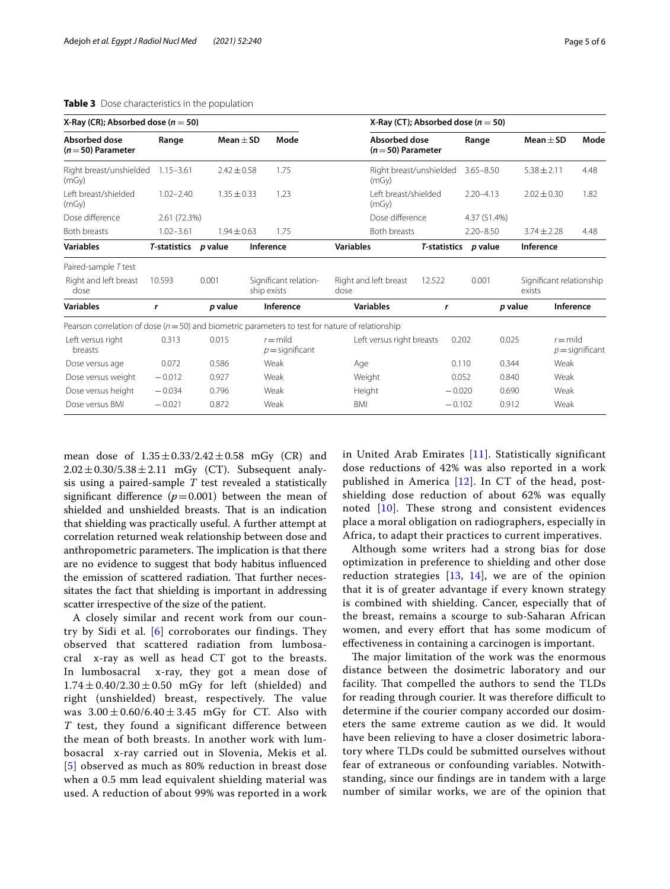| X-Ray (CR); Absorbed dose ( $n = 50$ )                                                               |                        |                 |                                      |                                 |                  | X-Ray (CT); Absorbed dose ( $n = 50$ ) |          |          |                      |       |                 |                                 |                          |
|------------------------------------------------------------------------------------------------------|------------------------|-----------------|--------------------------------------|---------------------------------|------------------|----------------------------------------|----------|----------|----------------------|-------|-----------------|---------------------------------|--------------------------|
| <b>Absorbed dose</b><br>$(n=50)$ Parameter                                                           | Mean $\pm$ SD<br>Range |                 |                                      | Mode                            |                  | Absorbed dose<br>$(n=50)$ Parameter    |          |          | Range                |       | Mean $\pm$ SD   |                                 | Mode                     |
| Right breast/unshielded<br>(mGy)                                                                     | $1.15 - 3.61$          | $2.42 \pm 0.58$ |                                      | 1.75                            |                  | Right breast/unshielded<br>(mGv)       |          |          | $3.65 - 8.50$        |       | $5.38 \pm 2.11$ |                                 | 4.48                     |
| I eft breast/shielded<br>(mGy)                                                                       | $1.02 - 2.40$          | $1.35 \pm 0.33$ | 1.23                                 |                                 |                  | I eft breast/shielded<br>(mGy)         |          |          | $2.20 - 4.13$        |       | $2.02 \pm 0.30$ |                                 | 1.82                     |
| Dose difference                                                                                      | 2.61 (72.3%)           |                 |                                      |                                 |                  | Dose difference                        |          |          | 4.37 (51.4%)         |       |                 |                                 |                          |
| Both breasts                                                                                         | $1.02 - 3.61$          | $1.94 + 0.63$   |                                      | 1.75                            |                  | Both breasts                           |          |          | $2.20 - 8.50$        |       | $3.74 \pm 2.28$ |                                 | 4.48                     |
| <b>Variables</b>                                                                                     | <b>T-statistics</b>    | p value         | Inference                            |                                 | <b>Variables</b> |                                        |          |          | T-statistics p value |       | Inference       |                                 |                          |
| Paired-sample T test                                                                                 |                        |                 |                                      |                                 |                  |                                        |          |          |                      |       |                 |                                 |                          |
| Right and left breast<br>dose                                                                        | 10.593                 | 0.001           | Significant relation-<br>ship exists |                                 | dose             | Right and left breast                  | 12.522   |          | 0.001                |       | exists          |                                 | Significant relationship |
| <b>Variables</b>                                                                                     | r                      | p value         | Inference                            |                                 |                  | <b>Variables</b>                       | r        |          | p value              |       |                 | Inference                       |                          |
| Pearson correlation of dose ( $n = 50$ ) and biometric parameters to test for nature of relationship |                        |                 |                                      |                                 |                  |                                        |          |          |                      |       |                 |                                 |                          |
| Left versus right<br>breasts                                                                         | 0.313                  | 0.015           |                                      | $r =$ mild<br>$p =$ significant |                  | Left versus right breasts              |          | 0.202    | 0.025                |       |                 | $r =$ mild<br>$p =$ significant |                          |
| Dose versus age                                                                                      | 0.072                  | 0.586           |                                      | Weak                            |                  | Age                                    |          | 0.110    |                      | 0.344 |                 | Weak                            |                          |
| Dose versus weight                                                                                   | $-0.012$               | 0.927           | Weak                                 |                                 |                  | Weight                                 |          | 0.052    |                      | 0.840 |                 | Weak                            |                          |
| Dose versus height                                                                                   | $-0.034$               | 0.796           | Weak                                 |                                 |                  | Height                                 | $-0.020$ |          | 0.690                |       |                 | Weak                            |                          |
| Dose versus BMI                                                                                      | $-0.021$               | 0.872           | Weak                                 |                                 | <b>BMI</b>       |                                        |          | $-0.102$ | 0.912                |       | Weak            |                                 |                          |

# <span id="page-4-0"></span>**Table 3** Dose characteristics in the population

mean dose of  $1.35 \pm 0.33/2.42 \pm 0.58$  mGy (CR) and  $2.02 \pm 0.30/5.38 \pm 2.11$  mGy (CT). Subsequent analysis using a paired-sample *T* test revealed a statistically significant difference  $(p=0.001)$  between the mean of shielded and unshielded breasts. That is an indication that shielding was practically useful. A further attempt at correlation returned weak relationship between dose and anthropometric parameters. The implication is that there are no evidence to suggest that body habitus infuenced the emission of scattered radiation. That further necessitates the fact that shielding is important in addressing scatter irrespective of the size of the patient.

A closely similar and recent work from our country by Sidi et al. [\[6](#page-5-5)] corroborates our findings. They observed that scattered radiation from lumbosacral x-ray as well as head CT got to the breasts. In lumbosacral x-ray, they got a mean dose of  $1.74 \pm 0.40/2.30 \pm 0.50$  mGy for left (shielded) and right (unshielded) breast, respectively. The value was  $3.00 \pm 0.60/6.40 \pm 3.45$  mGy for CT. Also with *T* test, they found a significant difference between the mean of both breasts. In another work with lumbosacral x-ray carried out in Slovenia, Mekis et al. [[5](#page-5-4)] observed as much as 80% reduction in breast dose when a 0.5 mm lead equivalent shielding material was used. A reduction of about 99% was reported in a work in United Arab Emirates [[11\]](#page-5-10). Statistically significant dose reductions of 42% was also reported in a work published in America [\[12\]](#page-5-11). In CT of the head, postshielding dose reduction of about 62% was equally noted [[10](#page-5-9)]. These strong and consistent evidences place a moral obligation on radiographers, especially in Africa, to adapt their practices to current imperatives.

Although some writers had a strong bias for dose optimization in preference to shielding and other dose reduction strategies  $[13, 14]$  $[13, 14]$  $[13, 14]$  $[13, 14]$ , we are of the opinion that it is of greater advantage if every known strategy is combined with shielding. Cancer, especially that of the breast, remains a scourge to sub-Saharan African women, and every efort that has some modicum of efectiveness in containing a carcinogen is important.

The major limitation of the work was the enormous distance between the dosimetric laboratory and our facility. That compelled the authors to send the TLDs for reading through courier. It was therefore difficult to determine if the courier company accorded our dosimeters the same extreme caution as we did. It would have been relieving to have a closer dosimetric laboratory where TLDs could be submitted ourselves without fear of extraneous or confounding variables. Notwithstanding, since our fndings are in tandem with a large number of similar works, we are of the opinion that